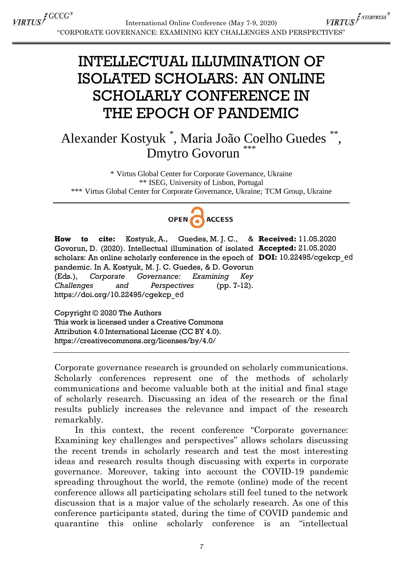VIRTUS<sup>F NTERPRESS®</sup> International Online Conference (May 7-9, 2020) "CORPORATE GOVERNANCE: EXAMINING KEY CHALLENGES AND PERSPECTIVES"

## INTELLECTUAL ILLUMINATION OF ISOLATED SCHOLARS: AN ONLINE SCHOLARLY CONFERENCE IN THE EPOCH OF PANDEMIC

## Alexander Kostyuk \* , Maria João Coelho Guedes \*\* , Dmytro Govorun

\* Virtus Global Center for Corporate Governance, Ukraine \*\* ISEG, University of Lisbon, Portugal \*\*\* Virtus Global Center for Corporate Governance, Ukraine; TCM Group, Ukraine



**How to cite:** Kostyuk, A., Guedes, M. J. C., & **Received:** 11.05.2020 Govorun, D. (2020). Intellectual illumination of isolated **Accepted:** 21.05.2020 scholars: An online scholarly conference in the epoch of **DOI:** 10.22495/cgekcp\_ed<br>pandemic. In A. Kostyuk, M. J. C. Guedes, & D. Govorun<br>(Eds.), Corporate Governance: Examining Key<br>Challenges and Perspectives (pp. 7-12).<br> pandemic. In A. Kostyuk, M. J. C. Guedes, & D. Govorun (Eds.), *Corporate Governance: Examining Key Challenges and Perspectives* (pp. 7-12). https://doi.org/10.22495/cgekcp\_ed

Copyright © 2020 The Authors This work is licensed under a Creative Commons Attribution 4.0 International License (CC BY 4.0). https://creativecommons.org/licenses/by/4.0/

Corporate governance research is grounded on scholarly communications. Scholarly conferences represent one of the methods of scholarly communications and become valuable both at the initial and final stage of scholarly research. Discussing an idea of the research or the final results publicly increases the relevance and impact of the research remarkably.

In this context, the recent conference "Corporate governance: Examining key challenges and perspectives" allows scholars discussing the recent trends in scholarly research and test the most interesting ideas and research results though discussing with experts in corporate governance. Moreover, taking into account the COVID-19 pandemic spreading throughout the world, the remote (online) mode of the recent conference allows all participating scholars still feel tuned to the network discussion that is a major value of the scholarly research. As one of this conference participants stated, during the time of COVID pandemic and quarantine this online scholarly conference is an "intellectual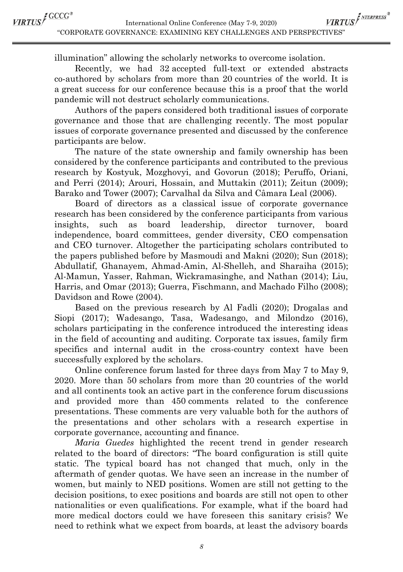VIRTUS<sup>F NTERPRESS®</sup> International Online Conference (May 7-9, 2020) "CORPORATE GOVERNANCE: EXAMINING KEY CHALLENGES AND PERSPECTIVES"

illumination" allowing the scholarly networks to overcome isolation.

Recently, we had 32 accepted full-text or extended abstracts co-authored by scholars from more than 20 countries of the world. It is a great success for our conference because this is a proof that the world pandemic will not destruct scholarly communications.

Authors of the papers considered both traditional issues of corporate governance and those that are challenging recently. The most popular issues of corporate governance presented and discussed by the conference participants are below.

The nature of the state ownership and family ownership has been considered by the conference participants and contributed to the previous research by Kostyuk, Mozghovyi, and Govorun (2018); Peruffo, Oriani, and Perri (2014); Arouri, Hossain, and Muttakin (2011); Zeitun (2009); Barako and Tower (2007); Carvalhal da Silva and Câmara Leal (2006).

Board of directors as a classical issue of corporate governance research has been considered by the conference participants from various insights, such as board leadership, director turnover, board independence, board committees, gender diversity, CEO compensation and CEO turnover. Altogether the participating scholars contributed to the papers published before by Masmoudi and Makni (2020); Sun (2018); Abdullatif, Ghanayem, Ahmad-Amin, Al-Shelleh, and Sharaiha (2015); Al-Mamun, Yasser, Rahman, Wickramasinghe, and Nathan (2014); Liu, Harris, and Omar (2013); Guerra, Fischmann, and Machado Filho (2008); Davidson and Rowe (2004).

Based on the previous research by Al Fadli (2020); Drogalas and Siopi (2017); Wadesango, Tasa, Wadesango, and Milondzo (2016), scholars participating in the conference introduced the interesting ideas in the field of accounting and auditing. Corporate tax issues, family firm specifics and internal audit in the cross-country context have been successfully explored by the scholars.

Online conference forum lasted for three days from May 7 to May 9, 2020. More than 50 scholars from more than 20 countries of the world and all continents took an active part in the conference forum discussions and provided more than 450 comments related to the conference presentations. These comments are very valuable both for the authors of the presentations and other scholars with a research expertise in corporate governance, accounting and finance.

*Maria Guedes* highlighted the recent trend in gender research related to the board of directors: "The board configuration is still quite static. The typical board has not changed that much, only in the aftermath of gender quotas. We have seen an increase in the number of women, but mainly to NED positions. Women are still not getting to the decision positions, to exec positions and boards are still not open to other nationalities or even qualifications. For example, what if the board had more medical doctors could we have foreseen this sanitary crisis? We need to rethink what we expect from boards, at least the advisory boards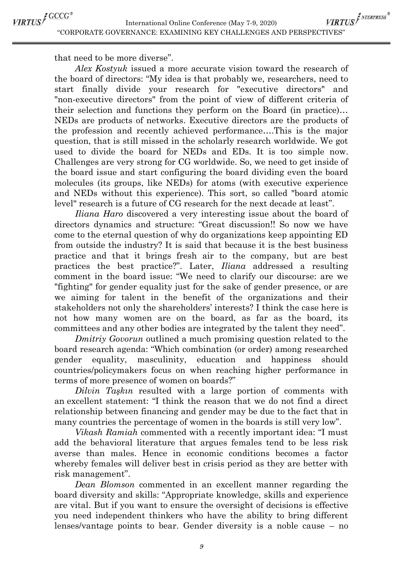VIRTUS<sup>F NTERPRESS®</sup> International Online Conference (May 7-9, 2020) "CORPORATE GOVERNANCE: EXAMINING KEY CHALLENGES AND PERSPECTIVES"

that need to be more diverse".

*Alex Kostyuk* issued a more accurate vision toward the research of the board of directors: "My idea is that probably we, researchers, need to start finally divide your research for "executive directors" and "non-executive directors" from the point of view of different criteria of their selection and functions they perform on the Board (in practice)… NEDs are products of networks. Executive directors are the products of the profession and recently achieved performance….This is the major question, that is still missed in the scholarly research worldwide. We got used to divide the board for NEDs and EDs. It is too simple now. Challenges are very strong for CG worldwide. So, we need to get inside of the board issue and start configuring the board dividing even the board molecules (its groups, like NEDs) for atoms (with executive experience and NEDs without this experience). This sort, so called "board atomic level" research is a future of CG research for the next decade at least".

*Iliana Haro* discovered a very interesting issue about the board of directors dynamics and structure: "Great discussion!! So now we have come to the eternal question of why do organizations keep appointing ED from outside the industry? It is said that because it is the best business practice and that it brings fresh air to the company, but are best practices the best practice?". Later, *Iliana* addressed a resulting comment in the board issue: "We need to clarify our discourse: are we "fighting" for gender equality just for the sake of gender presence, or are we aiming for talent in the benefit of the organizations and their stakeholders not only the shareholders' interests? I think the case here is not how many women are on the board, as far as the board, its committees and any other bodies are integrated by the talent they need".

*Dmitriy Govorun* outlined a much promising question related to the board research agenda: "Which combination (or order) among researched gender equality, masculinity, education and happiness should countries/policymakers focus on when reaching higher performance in terms of more presence of women on boards?"

*Dilvin Taşkın* resulted with a large portion of comments with an excellent statement: "I think the reason that we do not find a direct relationship between financing and gender may be due to the fact that in many countries the percentage of women in the boards is still very low".

*Vikash Ramiah* commented with a recently important idea: "I must add the behavioral literature that argues females tend to be less risk averse than males. Hence in economic conditions becomes a factor whereby females will deliver best in crisis period as they are better with risk management".

*Dean Blomson* commented in an excellent manner regarding the board diversity and skills: "Appropriate knowledge, skills and experience are vital. But if you want to ensure the oversight of decisions is effective you need independent thinkers who have the ability to bring different lenses/vantage points to bear. Gender diversity is a noble cause – no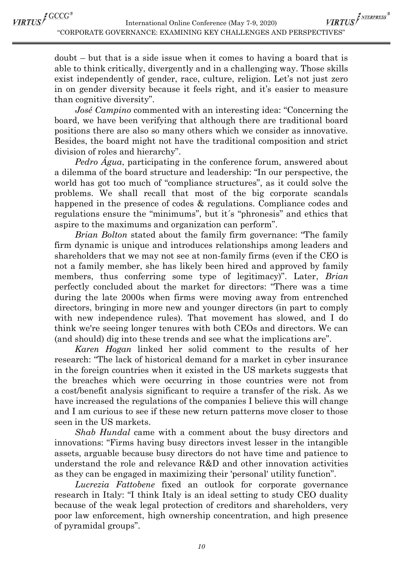VIRTUS<sup>F NTERPRESS®</sup> International Online Conference (May 7-9, 2020) "CORPORATE GOVERNANCE: EXAMINING KEY CHALLENGES AND PERSPECTIVES"

doubt – but that is a side issue when it comes to having a board that is able to think critically, divergently and in a challenging way. Those skills exist independently of gender, race, culture, religion. Let's not just zero in on gender diversity because it feels right, and it's easier to measure than cognitive diversity".

*José Campino* commented with an interesting idea: "Concerning the board, we have been verifying that although there are traditional board positions there are also so many others which we consider as innovative. Besides, the board might not have the traditional composition and strict division of roles and hierarchy".

*Pedro Água*, participating in the conference forum, answered about a dilemma of the board structure and leadership: "In our perspective, the world has got too much of "compliance structures", as it could solve the problems. We shall recall that most of the big corporate scandals happened in the presence of codes & regulations. Compliance codes and regulations ensure the "minimums", but it´s "phronesis" and ethics that aspire to the maximums and organization can perform".

*Brian Bolton* stated about the family firm governance: "The family firm dynamic is unique and introduces relationships among leaders and shareholders that we may not see at non-family firms (even if the CEO is not a family member, she has likely been hired and approved by family members, thus conferring some type of legitimacy)". Later, *Brian* perfectly concluded about the market for directors: "There was a time during the late 2000s when firms were moving away from entrenched directors, bringing in more new and younger directors (in part to comply with new independence rules). That movement has slowed, and I do think we're seeing longer tenures with both CEOs and directors. We can (and should) dig into these trends and see what the implications are".

*Karen Hogan* linked her solid comment to the results of her research: "The lack of historical demand for a market in cyber insurance in the foreign countries when it existed in the US markets suggests that the breaches which were occurring in those countries were not from a cost/benefit analysis significant to require a transfer of the risk. As we have increased the regulations of the companies I believe this will change and I am curious to see if these new return patterns move closer to those seen in the US markets.

*Shab Hundal* came with a comment about the busy directors and innovations: "Firms having busy directors invest lesser in the intangible assets, arguable because busy directors do not have time and patience to understand the role and relevance R&D and other innovation activities as they can be engaged in maximizing their 'personal' utility function".

*Lucrezia Fattobene* fixed an outlook for corporate governance research in Italy: "I think Italy is an ideal setting to study CEO duality because of the weak legal protection of creditors and shareholders, very poor law enforcement, high ownership concentration, and high presence of pyramidal groups".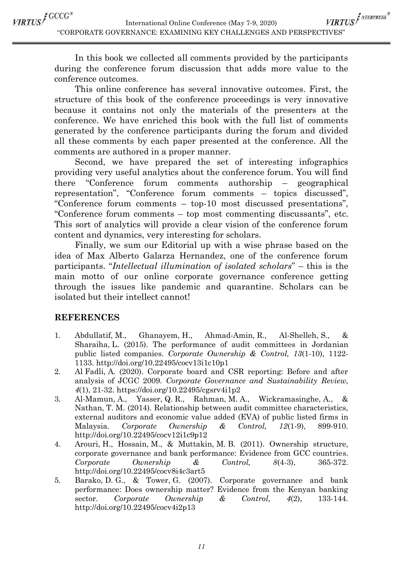VIRTUS<sup>E GCCG®</sup>

VIRTUS<sup>F NTERPRESS®</sup> International Online Conference (May 7-9, 2020) "CORPORATE GOVERNANCE: EXAMINING KEY CHALLENGES AND PERSPECTIVES"

In this book we collected all comments provided by the participants during the conference forum discussion that adds more value to the conference outcomes.

This online conference has several innovative outcomes. First, the structure of this book of the conference proceedings is very innovative because it contains not only the materials of the presenters at the conference. We have enriched this book with the full list of comments generated by the conference participants during the forum and divided all these comments by each paper presented at the conference. All the comments are authored in a proper manner.

Second, we have prepared the set of interesting infographics providing very useful analytics about the conference forum. You will find there "Conference forum comments authorship – geographical representation", "Conference forum comments – topics discussed", "Conference forum comments – top-10 most discussed presentations", "Conference forum comments – top most commenting discussants", etc. This sort of analytics will provide a clear vision of the conference forum content and dynamics, very interesting for scholars.

Finally, we sum our Editorial up with a wise phrase based on the idea of Max Alberto Galarza Hernandez, one of the conference forum participants. "*Intellectual illumination of isolated scholars*" – this is the main motto of our online corporate governance conference getting through the issues like pandemic and quarantine. Scholars can be isolated but their intellect cannot!

## **REFERENCES**

- 1. Abdullatif, M., Ghanayem, H., Ahmad-Amin, R., Al-Shelleh, S., & Sharaiha, L. (2015). The performance of audit committees in Jordanian public listed companies. *Corporate Ownership & Control, 13*(1-10), 1122- 1133. http://doi.org/10.22495/cocv13i1c10p1
- 2. Al Fadli, A. (2020). Corporate board and CSR reporting: Before and after analysis of JCGC 2009. *Corporate Governance and Sustainability Review, 4*(1), 21-32. https://doi.org/10.22495/cgsrv4i1p2
- 3. Al-Mamun, A., Yasser, Q. R., Rahman, M. A., Wickramasinghe, A., & Nathan, T. M. (2014). Relationship between audit committee characteristics, external auditors and economic value added (EVA) of public listed firms in Malaysia. *Corporate Ownership & Control, 12*(1-9), 899-910. http://doi.org/10.22495/cocv12i1c9p12
- 4. Arouri, H., Hossain, M., & Muttakin, M. B. (2011). Ownership structure, corporate governance and bank performance: Evidence from GCC countries. *Corporate Ownership & Control, 8*(4-3), 365-372. http://doi.org/10.22495/cocv8i4c3art5
- 5. Barako, D. G., & Tower, G. (2007). Corporate governance and bank performance: Does ownership matter? Evidence from the Kenyan banking sector. *Corporate Ownership & Control, 4*(2), 133-144. http://doi.org/10.22495/cocv4i2p13